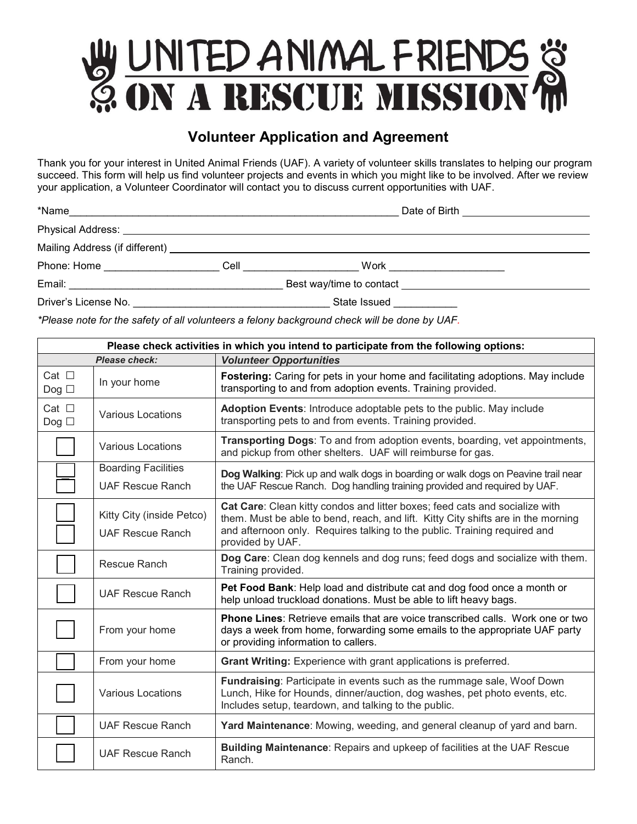## W UNITED ANIMAL FRIENDS &

## **Volunteer Application and Agreement**

Thank you for your interest in United Animal Friends (UAF). A variety of volunteer skills translates to helping our program succeed. This form will help us find volunteer projects and events in which you might like to be involved. After we review your application, a Volunteer Coordinator will contact you to discuss current opportunities with UAF.

| *Name                                                                                                                                                                                                                          |      | Date of Birth <b>Exercise 1999</b> |  |
|--------------------------------------------------------------------------------------------------------------------------------------------------------------------------------------------------------------------------------|------|------------------------------------|--|
| Physical Address: No. 1996. The Second Second Second Second Second Second Second Second Second Second Second Second Second Second Second Second Second Second Second Second Second Second Second Second Second Second Second S |      |                                    |  |
| Mailing Address (if different)                                                                                                                                                                                                 |      |                                    |  |
| Phone: Home                                                                                                                                                                                                                    | Cell | Work                               |  |
| Email:                                                                                                                                                                                                                         |      | Best way/time to contact           |  |
| Driver's License No.                                                                                                                                                                                                           |      | State Issued                       |  |

*\*Please note for the safety of all volunteers a felony background check will be done by UAF.*

| Please check activities in which you intend to participate from the following options: |                                                      |                                                                                                                                                                                                                                                                   |  |  |  |
|----------------------------------------------------------------------------------------|------------------------------------------------------|-------------------------------------------------------------------------------------------------------------------------------------------------------------------------------------------------------------------------------------------------------------------|--|--|--|
| <b>Please check:</b>                                                                   |                                                      | <b>Volunteer Opportunities</b>                                                                                                                                                                                                                                    |  |  |  |
| Cat $\Box$<br>Dog $\Box$                                                               | In your home                                         | Fostering: Caring for pets in your home and facilitating adoptions. May include<br>transporting to and from adoption events. Training provided.                                                                                                                   |  |  |  |
| Cat $\Box$<br>Dog $\Box$                                                               | <b>Various Locations</b>                             | Adoption Events: Introduce adoptable pets to the public. May include<br>transporting pets to and from events. Training provided.                                                                                                                                  |  |  |  |
|                                                                                        | <b>Various Locations</b>                             | Transporting Dogs: To and from adoption events, boarding, vet appointments,<br>and pickup from other shelters. UAF will reimburse for gas.                                                                                                                        |  |  |  |
|                                                                                        | <b>Boarding Facilities</b>                           | Dog Walking: Pick up and walk dogs in boarding or walk dogs on Peavine trail near<br>the UAF Rescue Ranch. Dog handling training provided and required by UAF.                                                                                                    |  |  |  |
|                                                                                        | <b>UAF Rescue Ranch</b>                              |                                                                                                                                                                                                                                                                   |  |  |  |
|                                                                                        | Kitty City (inside Petco)<br><b>UAF Rescue Ranch</b> | Cat Care: Clean kitty condos and litter boxes; feed cats and socialize with<br>them. Must be able to bend, reach, and lift. Kitty City shifts are in the morning<br>and afternoon only. Requires talking to the public. Training required and<br>provided by UAF. |  |  |  |
|                                                                                        | Rescue Ranch                                         | Dog Care: Clean dog kennels and dog runs; feed dogs and socialize with them.<br>Training provided.                                                                                                                                                                |  |  |  |
|                                                                                        | <b>UAF Rescue Ranch</b>                              | Pet Food Bank: Help load and distribute cat and dog food once a month or<br>help unload truckload donations. Must be able to lift heavy bags.                                                                                                                     |  |  |  |
|                                                                                        | From your home                                       | <b>Phone Lines: Retrieve emails that are voice transcribed calls. Work one or two</b><br>days a week from home, forwarding some emails to the appropriate UAF party<br>or providing information to callers.                                                       |  |  |  |
|                                                                                        | From your home                                       | <b>Grant Writing:</b> Experience with grant applications is preferred.                                                                                                                                                                                            |  |  |  |
|                                                                                        | <b>Various Locations</b>                             | Fundraising: Participate in events such as the rummage sale, Woof Down<br>Lunch, Hike for Hounds, dinner/auction, dog washes, pet photo events, etc.<br>Includes setup, teardown, and talking to the public.                                                      |  |  |  |
|                                                                                        | <b>UAF Rescue Ranch</b>                              | Yard Maintenance: Mowing, weeding, and general cleanup of yard and barn.                                                                                                                                                                                          |  |  |  |
|                                                                                        | <b>UAF Rescue Ranch</b>                              | <b>Building Maintenance: Repairs and upkeep of facilities at the UAF Rescue</b><br>Ranch.                                                                                                                                                                         |  |  |  |